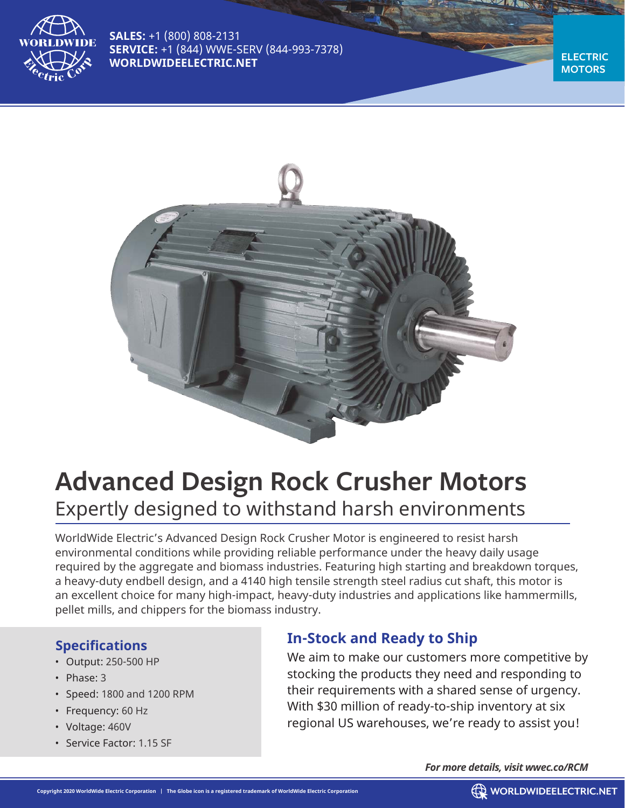

**SALES:** +1 (800) 808-2131 **SERVICE:** +1 (844) WWE-SERV (844-993-7378) **WORLDWIDEELECTRIC.NET** 

**MOTORS**



# **Advanced Design Rock Crusher Motors** Expertly designed to withstand harsh environments

WorldWide Electric's Advanced Design Rock Crusher Motor is engineered to resist harsh environmental conditions while providing reliable performance under the heavy daily usage required by the aggregate and biomass industries. Featuring high starting and breakdown torques, a heavy-duty endbell design, and a 4140 high tensile strength steel radius cut shaft, this motor is an excellent choice for many high-impact, heavy-duty industries and applications like hammermills, pellet mills, and chippers for the biomass industry.

#### **Specifications**

- Output: 250-500 HP
- Phase: 3
- Speed: 1800 and 1200 RPM
- Frequency: 60 Hz
- Voltage: 460V
- Service Factor: 1.15 SF

### **In-Stock and Ready to Ship**

We aim to make our customers more competitive by stocking the products they need and responding to their requirements with a shared sense of urgency. With \$30 million of ready-to-ship inventory at six regional US warehouses, we're ready to assist you!

*For more details, visit wwec.co/RCM*